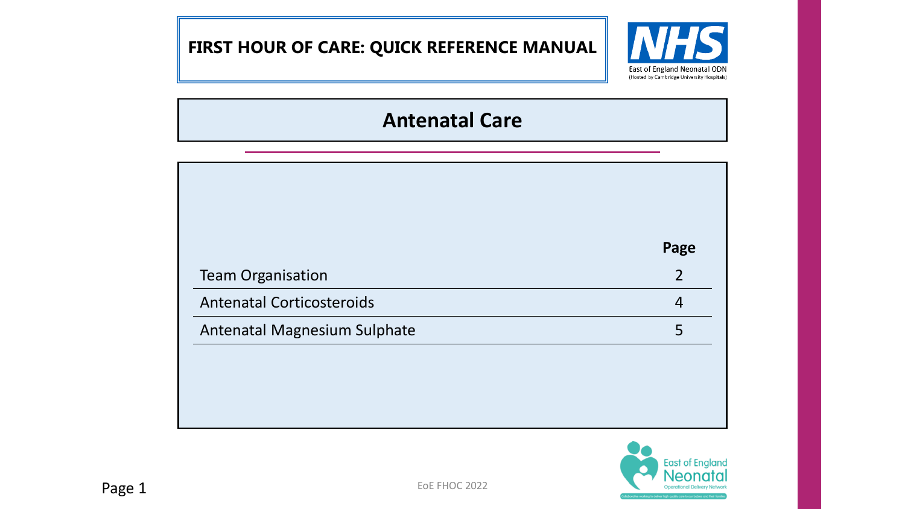# **FIRST HOUR OF CARE: QUICK REFERENCE MANUAL**



# **Antenatal Care**

|                                  | Page           |
|----------------------------------|----------------|
| <b>Team Organisation</b>         | $\overline{2}$ |
| <b>Antenatal Corticosteroids</b> | $\overline{4}$ |
| Antenatal Magnesium Sulphate     | 5              |

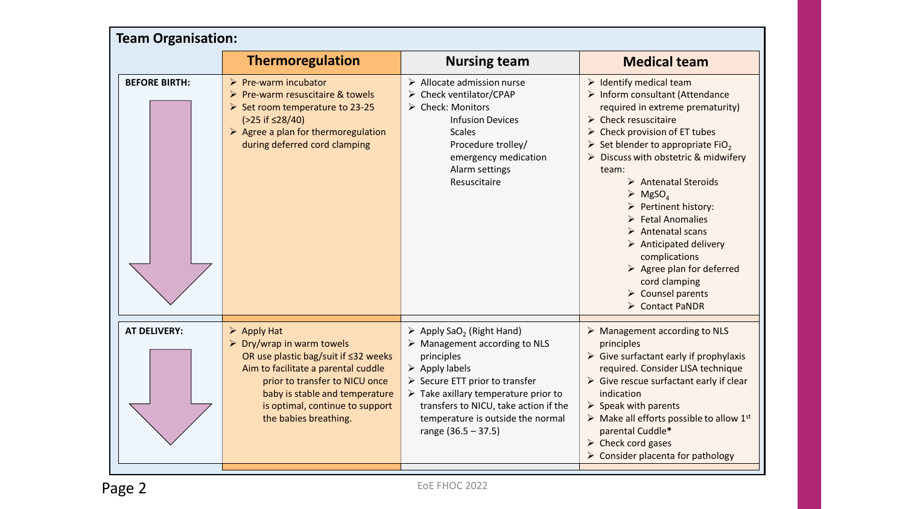| <b>Team Organisation:</b> |                                                                                                                                                                                                                                                                                       |                                                                                                                                                                                                                                                                                                                                                                    |                                                                                                                                                                                                                                                                                                                                                                                                                                                                                                                                                                                                                                                                            |  |  |
|---------------------------|---------------------------------------------------------------------------------------------------------------------------------------------------------------------------------------------------------------------------------------------------------------------------------------|--------------------------------------------------------------------------------------------------------------------------------------------------------------------------------------------------------------------------------------------------------------------------------------------------------------------------------------------------------------------|----------------------------------------------------------------------------------------------------------------------------------------------------------------------------------------------------------------------------------------------------------------------------------------------------------------------------------------------------------------------------------------------------------------------------------------------------------------------------------------------------------------------------------------------------------------------------------------------------------------------------------------------------------------------------|--|--|
|                           | <b>Thermoregulation</b>                                                                                                                                                                                                                                                               | <b>Nursing team</b>                                                                                                                                                                                                                                                                                                                                                | <b>Medical team</b>                                                                                                                                                                                                                                                                                                                                                                                                                                                                                                                                                                                                                                                        |  |  |
| <b>BEFORE BIRTH:</b>      | $\triangleright$ Pre-warm incubator<br>$\triangleright$ Pre-warm resuscitaire & towels<br>Set room temperature to 23-25<br>$( > 25 \text{ if } \leq 28/40)$<br>$\triangleright$ Agree a plan for thermoregulation<br>during deferred cord clamping                                    | $\triangleright$ Allocate admission nurse<br>> Check ventilator/CPAP<br>> Check: Monitors<br><b>Infusion Devices</b><br><b>Scales</b><br>Procedure trolley/<br>emergency medication<br>Alarm settings<br>Resuscitaire                                                                                                                                              | $\triangleright$ Identify medical team<br>> Inform consultant (Attendance<br>required in extreme prematurity)<br>$\triangleright$ Check resuscitaire<br>$\triangleright$ Check provision of ET tubes<br>Set blender to appropriate FiO <sub>2</sub><br>$\triangleright$ Discuss with obstetric & midwifery<br>team:<br>Antenatal Steroids<br>$\triangleright$ MgSO <sub>4</sub><br>$\triangleright$ Pertinent history:<br>$\triangleright$ Fetal Anomalies<br>$\triangleright$ Antenatal scans<br>$\triangleright$ Anticipated delivery<br>complications<br>$\triangleright$ Agree plan for deferred<br>cord clamping<br>$\triangleright$ Counsel parents<br>Contact PaNDR |  |  |
| <b>AT DELIVERY:</b>       | $\triangleright$ Apply Hat<br>$\triangleright$ Dry/wrap in warm towels<br>OR use plastic bag/suit if ≤32 weeks<br>Aim to facilitate a parental cuddle<br>prior to transfer to NICU once<br>baby is stable and temperature<br>is optimal, continue to support<br>the babies breathing. | $\triangleright$ Apply SaO <sub>2</sub> (Right Hand)<br>$\triangleright$ Management according to NLS<br>principles<br>$\triangleright$ Apply labels<br>$\triangleright$ Secure ETT prior to transfer<br>$\triangleright$ Take axillary temperature prior to<br>transfers to NICU, take action if the<br>temperature is outside the normal<br>range $(36.5 - 37.5)$ | $\triangleright$ Management according to NLS<br>principles<br>$\triangleright$ Give surfactant early if prophylaxis<br>required. Consider LISA technique<br>$\triangleright$ Give rescue surfactant early if clear<br>indication<br>$\triangleright$ Speak with parents<br>$\triangleright$ Make all efforts possible to allow 1st<br>parental Cuddle*<br>$\triangleright$ Check cord gases<br>$\triangleright$ Consider placenta for pathology                                                                                                                                                                                                                            |  |  |

EoE FHOC 2022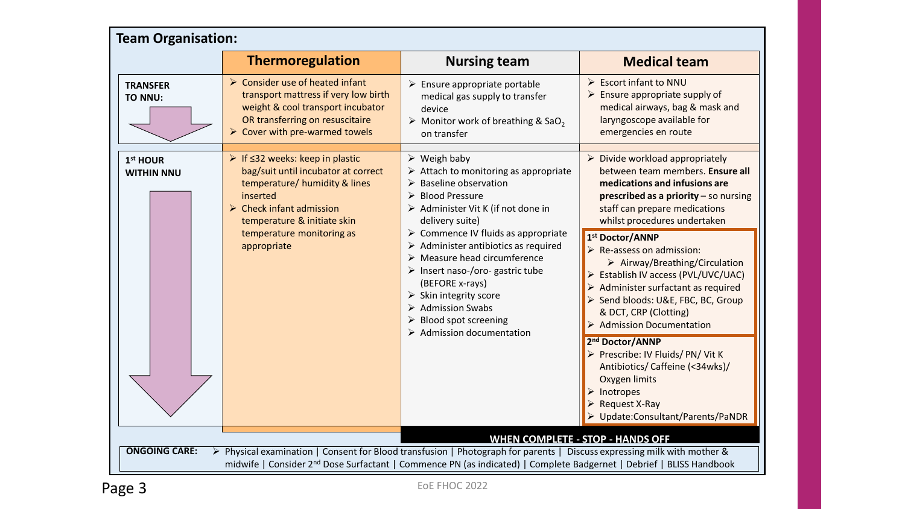| <b>Team Organisation:</b>                                                                                                                                                                                                                                                                                                     |                                                                                                                                                                                                                                             |                                                                                                                                                                                                                                                                                                                                                                                                                                                                                                                                                                                                               |                                                                                                                                                                                                                                                                                                     |  |  |
|-------------------------------------------------------------------------------------------------------------------------------------------------------------------------------------------------------------------------------------------------------------------------------------------------------------------------------|---------------------------------------------------------------------------------------------------------------------------------------------------------------------------------------------------------------------------------------------|---------------------------------------------------------------------------------------------------------------------------------------------------------------------------------------------------------------------------------------------------------------------------------------------------------------------------------------------------------------------------------------------------------------------------------------------------------------------------------------------------------------------------------------------------------------------------------------------------------------|-----------------------------------------------------------------------------------------------------------------------------------------------------------------------------------------------------------------------------------------------------------------------------------------------------|--|--|
|                                                                                                                                                                                                                                                                                                                               | <b>Thermoregulation</b>                                                                                                                                                                                                                     | <b>Nursing team</b>                                                                                                                                                                                                                                                                                                                                                                                                                                                                                                                                                                                           | <b>Medical team</b>                                                                                                                                                                                                                                                                                 |  |  |
| <b>TRANSFER</b><br>TO NNU:                                                                                                                                                                                                                                                                                                    | > Consider use of heated infant<br>transport mattress if very low birth<br>weight & cool transport incubator<br>OR transferring on resuscitaire<br>$\triangleright$ Cover with pre-warmed towels                                            | $\triangleright$ Ensure appropriate portable<br>medical gas supply to transfer<br>device<br>$\triangleright$ Monitor work of breathing & SaO <sub>2</sub><br>on transfer                                                                                                                                                                                                                                                                                                                                                                                                                                      | $\triangleright$ Escort infant to NNU<br>$\triangleright$ Ensure appropriate supply of<br>medical airways, bag & mask and<br>laryngoscope available for<br>emergencies en route                                                                                                                     |  |  |
| 1st HOUR<br><b>WITHIN NNU</b>                                                                                                                                                                                                                                                                                                 | ▶ If $≤32$ weeks: keep in plastic<br>bag/suit until incubator at correct<br>temperature/ humidity & lines<br>inserted<br>$\triangleright$ Check infant admission<br>temperature & initiate skin<br>temperature monitoring as<br>appropriate | $\triangleright$ Weigh baby<br>$\triangleright$ Attach to monitoring as appropriate<br>$\triangleright$ Baseline observation<br><b>Blood Pressure</b><br>➤<br>> Administer Vit K (if not done in<br>delivery suite)<br>$\triangleright$ Commence IV fluids as appropriate<br>$\triangleright$ Administer antibiotics as required<br>$\triangleright$ Measure head circumference<br>$\triangleright$ Insert naso-/oro- gastric tube<br>(BEFORE x-rays)<br>$\triangleright$ Skin integrity score<br>$\triangleright$ Admission Swabs<br><b>Blood spot screening</b><br>$\triangleright$ Admission documentation | Divide workload appropriately<br>➤<br>between team members. Ensure all<br>medications and infusions are<br>prescribed as a priority $-$ so nursing<br>staff can prepare medications<br>whilst procedures undertaken                                                                                 |  |  |
|                                                                                                                                                                                                                                                                                                                               |                                                                                                                                                                                                                                             |                                                                                                                                                                                                                                                                                                                                                                                                                                                                                                                                                                                                               | 1 <sup>st</sup> Doctor/ANNP<br>$\triangleright$ Re-assess on admission:<br>$\triangleright$ Airway/Breathing/Circulation<br>Establish IV access (PVL/UVC/UAC)<br>Administer surfactant as required<br>> Send bloods: U&E, FBC, BC, Group<br>& DCT, CRP (Clotting)<br><b>Admission Documentation</b> |  |  |
|                                                                                                                                                                                                                                                                                                                               |                                                                                                                                                                                                                                             |                                                                                                                                                                                                                                                                                                                                                                                                                                                                                                                                                                                                               | 2 <sup>nd</sup> Doctor/ANNP<br>> Prescribe: IV Fluids/PN/ Vit K<br>Antibiotics/Caffeine (<34wks)/<br>Oxygen limits<br>$\triangleright$ Inotropes<br>Request X-Ray<br>→ Update:Consultant/Parents/PaNDR                                                                                              |  |  |
| <b>WHEN COMPLETE - STOP - HANDS OFF</b><br><b>ONGOING CARE:</b><br>▶ Physical examination   Consent for Blood transfusion   Photograph for parents   Discuss expressing milk with mother &<br>midwife   Consider 2 <sup>nd</sup> Dose Surfactant   Commence PN (as indicated)   Complete Badgernet   Debrief   BLISS Handbook |                                                                                                                                                                                                                                             |                                                                                                                                                                                                                                                                                                                                                                                                                                                                                                                                                                                                               |                                                                                                                                                                                                                                                                                                     |  |  |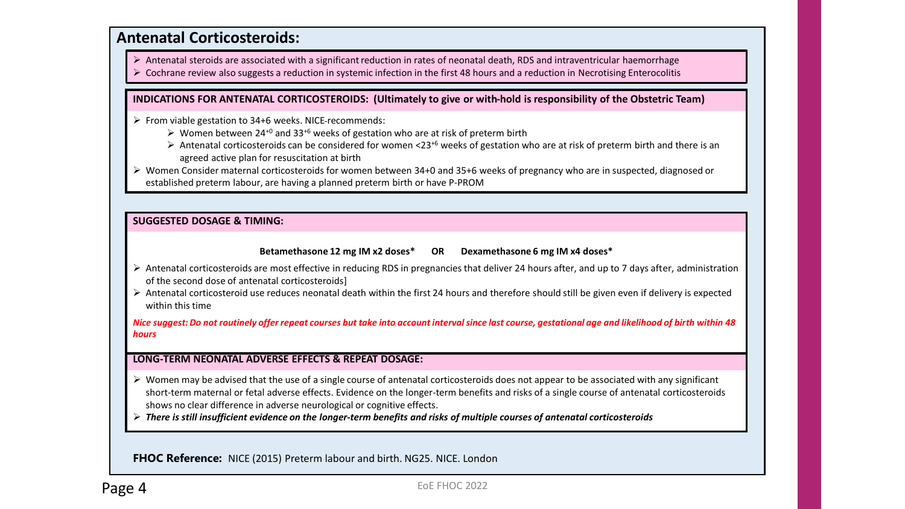### **Antenatal Corticosteroids:**

 $\triangleright$  Antenatal steroids are associated with a significant reduction in rates of neonatal death, RDS and intraventricular haemorrhage

 $\triangleright$  Cochrane review also suggests a reduction in systemic infection in the first 48 hours and a reduction in Necrotising Enterocolitis

#### **INDICATIONS FOR ANTENATAL CORTICOSTEROIDS: (Ultimately to give or with-hold is responsibility of the Obstetric Team)**

From viable gestation to 34+6 weeks. NICE recommends:

- $\triangleright$  Women between 24<sup>+0</sup> and 33<sup>+6</sup> weeks of gestation who are at risk of preterm birth
- Antenatal corticosteroids can be considered for women <23<sup>+6</sup> weeks of gestation who are at risk of preterm birth and there is an agreed active plan for resuscitation at birth

 Women Consider maternal corticosteroids for women between 34+0 and 35+6 weeks of pregnancy who are in suspected, diagnosed or established preterm labour, are having a planned preterm birth or have P-PROM

#### **SUGGESTED DOSAGE & TIMING:**

#### **Betamethasone 12 mg IM x2 doses\* OR Dexamethasone 6 mg IM x4 doses\***

- Antenatal corticosteroids are most effective in reducing RDS in pregnancies that deliver 24 hours after, and up to 7 days after, administration of the second dose of antenatal corticosteroids]
- **CAUTION:** Within this time Antenatal corticosteroid use reduces neonatal death within the first 24 hours and therefore should still be given even if delivery is expected

Nice suggest: Do not routinely offer repeat courses but take into account interval since last course, gestational age and likelihood of birth within 48  $\mathbf{u}$ *hours*

#### **LONG-TERM NEONATAL ADVERSE EFFECTS & REPEAT DOSAGE:**

- $\triangleright$  Women may be advised that the use of a single course of antenatal corticosteroids does not appear to be associated with any significant short-term maternal or fetal adverse effects. Evidence on the longer-term benefits and risks of a single course of antenatal corticosteroids shows no clear difference in adverse neurological or cognitive effects.
- *There is still insufficient evidence on the longer-term benefits and risks of multiple courses of antenatal corticosteroids*

**FHOC Reference:** NICE (2015) Preterm labour and birth. NG25. NICE. London